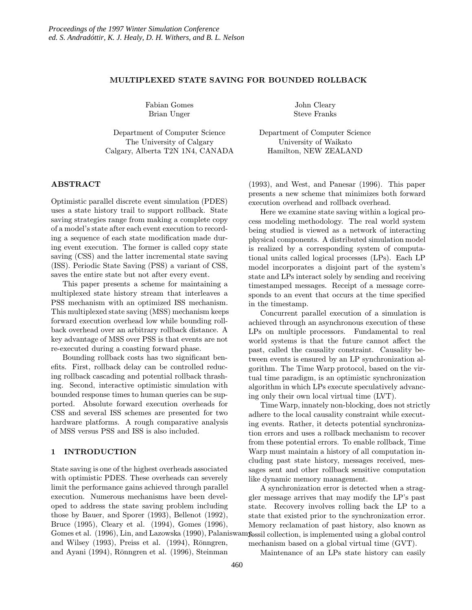# MULTIPLEXED STATE SAVING FOR BOUNDED ROLLBACK

Fabian Gomes Brian Unger

Department of Computer Science The University of Calgary Calgary, Alberta T2N 1N4, CANADA

#### ABSTRACT

Optimistic parallel discrete event simulation (PDES) uses a state history trail to support rollback. State saving strategies range from making a complete copy of a model's state after each event execution to recording a sequence of each state modification made during event execution. The former is called copy state saving (CSS) and the latter incremental state saving (ISS). Periodic State Saving (PSS) a variant of CSS, saves the entire state but not after every event.

This paper presents a scheme for maintaining a multiplexed state history stream that interleaves a PSS mechanism with an optimized ISS mechanism. This multiplexed state saving (MSS) mechanism keeps forward execution overhead low while bounding rollback overhead over an arbitrary rollback distance. A key advantage of MSS over PSS is that events are not re-executed during a coasting forward phase.

Bounding rollback costs has two significant benefits. First, rollback delay can be controlled reducing rollback cascading and potential rollback thrashing. Second, interactive optimistic simulation with bounded response times to human queries can be supported. Absolute forward execution overheads for CSS and several ISS schemes are presented for two hardware platforms. A rough comparative analysis of MSS versus PSS and ISS is also included.

## 1 INTRODUCTION

State saving is one of the highest overheads associated with optimistic PDES. These overheads can severely limit the performance gains achieved through parallel execution. Numerous mechanisms have been developed to address the state saving problem including those by Bauer, and Sporer (1993), Bellenot (1992), Bruce (1995), Cleary et al. (1994), Gomes (1996), Gomes et al. (1996), Lin, and Lazowska (1990), Palaniswam $\mathbf{f}_\text{9SSil}$  collection, is implemented using a global control and Wilsey  $(1993)$ , Preiss et al.  $(1994)$ , Rönngren, and Ayani (1994), Rōnngren et al. (1996), Steinman

John Cleary Steve Franks

Department of Computer Science University of Waikato Hamilton, NEW ZEALAND

(1993), and West, and Panesar (1996). This paper presents a new scheme that minimizes both forward execution overhead and rollback overhead.

Here we examine state saving within a logical process modeling methodology. The real world system being studied is viewed as a network of interacting physical components. A distributed simulation model is realized by a corresponding system of computational units called logical processes (LPs). Each LP model incorporates a disjoint part of the system's state and LPs interact solely by sending and receiving timestamped messages. Receipt of a message corresponds to an event that occurs at the time specified in the timestamp.

Concurrent parallel execution of a simulation is achieved through an asynchronous execution of these LPs on multiple processors. Fundamental to real world systems is that the future cannot affect the past, called the causality constraint. Causality between events is ensured by an LP synchronization algorithm. The Time Warp protocol, based on the virtual time paradigm, is an optimistic synchronization algorithm in which LPs execute speculatively advancing only their own local virtual time (LVT).

Time Warp, innately non-blocking, does not strictly adhere to the local causality constraint while executing events. Rather, it detects potential synchronization errors and uses a rollback mechanism to recover from these potential errors. To enable rollback, Time Warp must maintain a history of all computation including past state history, messages received, messages sent and other rollback sensitive computation like dynamic memory management.

A synchronization error is detected when a straggler message arrives that may modify the LP's past state. Recovery involves rolling back the LP to a state that existed prior to the synchronization error. Memory reclamation of past history, also known as mechanism based on a global virtual time (GVT).

Maintenance of an LPs state history can easily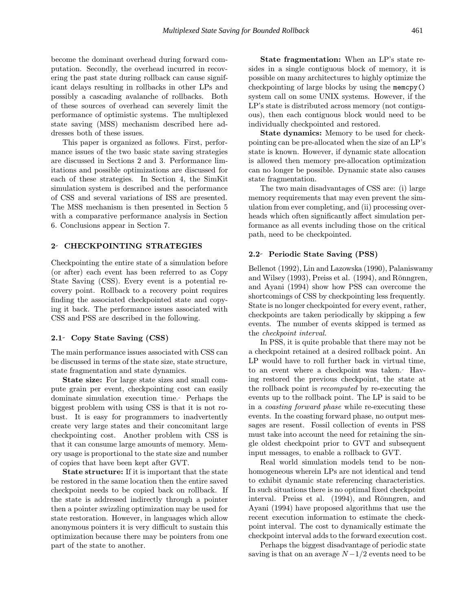become the dominant overhead during forward computation. Secondly, the overhead incurred in recovering the past state during rollback can cause significant delays resulting in rollbacks in other LPs and possibly a cascading avalanche of rollbacks. Both of these sources of overhead can severely limit the performance of optimistic systems. The multiplexed state saving (MSS) mechanism described here addresses both of these issues.

This paper is organized as follows. First, performance issues of the two basic state saving strategies are discussed in Sections 2 and 3. Performance limitations and possible optimizations are discussed for each of these strategies. In Section 4, the SimKit simulation system is described and the performance of CSS and several variations of ISS are presented. The MSS mechanism is then presented in Section 5 with a comparative performance analysis in Section 6. Conclusions appear in Section 7.

## 2- CHECKPOINTING STRATEGIES

Checkpointing the entire state of a simulation before (or after) each event has been referred to as Copy State Saving (CSS). Every event is a potential recovery point. Rollback to a recovery point requires finding the associated checkpointed state and copying it back. The performance issues associated with CSS and PSS are described in the following.

#### 2.1 Copy State Saving (CSS)

The main performance issues associated with CSS can be discussed in terms of the state size, state structure, state fragmentation and state dynamics.

State size: For large state sizes and small compute grain per event, checkpointing cost can easily dominate simulation execution time. Perhaps the biggest problem with using CSS is that it is not robust. It is easy for programmers to inadvertently create very large states and their concomitant large checkpointing cost. Another problem with CSS is that it can consume large amounts of memory. Memory usage is proportional to the state size and number of copies that have been kept after GVT.

State structure: If it is important that the state be restored in the same location then the entire saved checkpoint needs to be copied back on rollback. If the state is addressed indirectly through a pointer then a pointer swizzling optimization may be used for state restoration. However, in languages which allow anonymous pointers it is very difficult to sustain this optimization because there may be pointers from one part of the state to another.

State fragmentation: When an LP's state resides in a single contiguous block of memory, it is possible on many architectures to highly optimize the checkpointing of large blocks by using the memcpy() system call on some UNIX systems. However, if the LP's state is distributed across memory (not contiguous), then each contiguous block would need to be individually checkpointed and restored.

State dynamics: Memory to be used for checkpointing can be pre-allocated when the size of an LP's state is known. However, if dynamic state allocation is allowed then memory pre-allocation optimization can no longer be possible. Dynamic state also causes state fragmentation.

The two main disadvantages of CSS are: (i) large memory requirements that may even prevent the simulation from ever completing, and (ii) processing overheads which often significantly affect simulation performance as all events including those on the critical path, need to be checkpointed.

## 2.2 Periodic State Saving (PSS)

Bellenot (1992), Lin and Lazowska (1990), Palaniswamy and Wilsey  $(1993)$ , Preiss et al.  $(1994)$ , and Rōnngren, and Ayani (1994) show how PSS can overcome the shortcomings of CSS by checkpointing less frequently. State is no longer checkpointed for every event, rather, checkpoints are taken periodically by skipping a few events. The number of events skipped is termed as the checkpoint interval.

In PSS, it is quite probable that there may not be a checkpoint retained at a desired rollback point. An LP would have to roll further back in virtual time, to an event where a checkpoint was taken. Having restored the previous checkpoint, the state at the rollback point is recomputed by re-executing the events up to the rollback point. The LP is said to be in a coasting forward phase while re-executing these events. In the coasting forward phase, no output messages are resent. Fossil collection of events in PSS must take into account the need for retaining the single oldest checkpoint prior to GVT and subsequent input messages, to enable a rollback to GVT.

Real world simulation models tend to be nonhomogeneous wherein LPs are not identical and tend to exhibit dynamic state referencing characteristics. In such situations there is no optimal fixed checkpoint interval. Preiss et al. (1994), and Rōnngren, and Ayani (1994) have proposed algorithms that use the recent execution information to estimate the checkpoint interval. The cost to dynamically estimate the checkpoint interval adds to the forward execution cost.

Perhaps the biggest disadvantage of periodic state saving is that on an average  $N - 1/2$  events need to be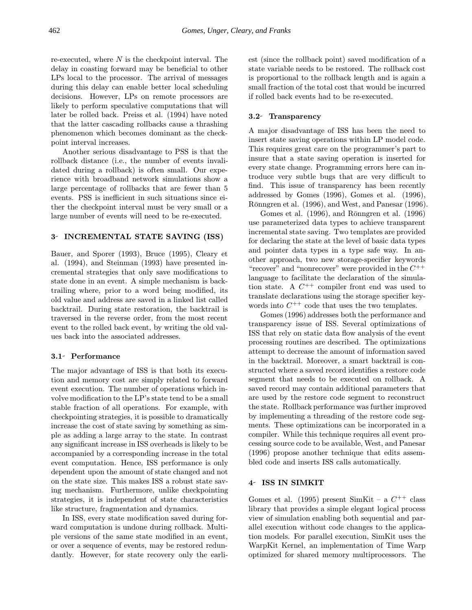re-executed, where  $N$  is the checkpoint interval. The delay in coasting forward may be beneficial to other LPs local to the processor. The arrival of messages during this delay can enable better local scheduling decisions. However, LPs on remote processors are likely to perform speculative computations that will later be rolled back. Preiss et al. (1994) have noted that the latter cascading rollbacks cause a thrashing phenomenon which becomes dominant as the checkpoint interval increases.

Another serious disadvantage to PSS is that the rollback distance (i.e., the number of events invalidated during a rollback) is often small. Our experience with broadband network simulations show a large percentage of rollbacks that are fewer than 5 events. PSS is inefficient in such situations since either the checkpoint interval must be very small or a large number of events will need to be re-executed.

# 3- INCREMENTAL STATE SAVING (ISS)

Bauer, and Sporer (1993), Bruce (1995), Cleary et al. (1994), and Steinman (1993) have presented incremental strategies that only save modifications to state done in an event. A simple mechanism is backtrailing where, prior to a word being modified, its old value and address are saved in a linked list called backtrail. During state restoration, the backtrail is traversed in the reverse order, from the most recent event to the rolled back event, by writing the old values back into the associated addresses.

## 3.1 Performance

The major advantage of ISS is that both its execution and memory cost are simply related to forward event execution. The number of operations which involve modification to the LP's state tend to be a small stable fraction of all operations. For example, with checkpointing strategies, it is possible to dramatically increase the cost of state saving by something as simple as adding a large array to the state. In contrast any significant increase in ISS overheads is likely to be accompanied by a corresponding increase in the total event computation. Hence, ISS performance is only dependent upon the amount of state changed and not on the state size. This makes ISS a robust state saving mechanism. Furthermore, unlike checkpointing strategies, it is independent of state characteristics like structure, fragmentation and dynamics.

In ISS, every state modification saved during forward computation is undone during rollback. Multiple versions of the same state modified in an event, or over a sequence of events, may be restored redundantly. However, for state recovery only the earliest (since the rollback point) saved modification of a state variable needs to be restored. The rollback cost is proportional to the rollback length and is again a small fraction of the total cost that would be incurred if rolled back events had to be re-executed.

## 3.2 Transparency

A major disadvantage of ISS has been the need to insert state saving operations within LP model code. This requires great care on the programmer's part to insure that a state saving operation is inserted for every state change. Programming errors here can introduce very subtle bugs that are very difficult to find. This issue of transparency has been recently addressed by Gomes (1996), Gomes et al. (1996), Rönngren et al. (1996), and West, and Panesar (1996).

Gomes et al.  $(1996)$ , and Ronngren et al.  $(1996)$ use parameterized data types to achieve transparent incremental state saving. Two templates are provided for declaring the state at the level of basic data types and pointer data types in a type safe way. In another approach, two new storage-specifier keywords "recover" and "nonrecover" were provided in the  $C^{++}$ language to facilitate the declaration of the simulation state. A  $C^{++}$  compiler front end was used to translate declarations using the storage specifier keywords into  $C^{++}$  code that uses the two templates.

Gomes (1996) addresses both the performance and transparency issue of ISS. Several optimizations of ISS that rely on static data flow analysis of the event processing routines are described. The optimizations attempt to decrease the amount of information saved in the backtrail. Moreover, a smart backtrail is constructed where a saved record identifies a restore code segment that needs to be executed on rollback. A saved record may contain additional parameters that are used by the restore code segment to reconstruct the state. Rollback performance was further improved by implementing a threading of the restore code segments. These optimizations can be incorporated in a compiler. While this technique requires all event processing source code to be available, West, and Panesar (1996) propose another technique that edits assembled code and inserts ISS calls automatically.

# 4 ISS IN SIMKIT

Gomes et al. (1995) present SimKit – a  $C^{++}$  class library that provides a simple elegant logical process view of simulation enabling both sequential and parallel execution without code changes to the application models. For parallel execution, SimKit uses the WarpKit Kernel, an implementation of Time Warp optimized for shared memory multiprocessors. The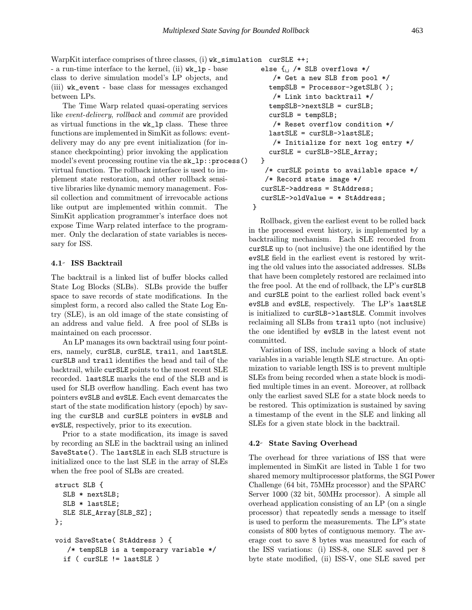WarpKit interface comprises of three classes, (i) wk\_simulation curSLE ++;

- a run-time interface to the kernel, (ii) wk\_lp - base class to derive simulation model's LP objects, and (iii) wk\_event - base class for messages exchanged between LPs.

The Time Warp related quasi-operating services like event-delivery, rollback and commit are provided as virtual functions in the wk\_lp class. These three functions are implemented in SimKit as follows: eventdelivery may do any pre event initialization (for instance checkpointing) prior invoking the application model's event processing routine via the  $sk\_lp::process()$ virtual function. The rollback interface is used to implement state restoration, and other rollback sensitive libraries like dynamic memory management. Fossil collection and commitment of irrevocable actions like output are implemented within commit. The SimKit application programmer's interface does not expose Time Warp related interface to the programmer. Only the declaration of state variables is necessary for ISS.

### 4.1 ISS Backtrail

The backtrail is a linked list of buffer blocks called State Log Blocks (SLBs). SLBs provide the buffer space to save records of state modifications. In the simplest form, a record also called the State Log Entry (SLE), is an old image of the state consisting of an address and value field. A free pool of SLBs is maintained on each processor.

An LP manages its own backtrail using four pointers, namely, curSLB, curSLE, trail, and lastSLE. curSLB and trail identifies the head and tail of the backtrail, while curSLE points to the most recent SLE recorded. lastSLE marks the end of the SLB and is used for SLB overflow handling. Each event has two pointers evSLB and evSLE. Each event demarcates the start of the state modification history (epoch) by saving the curSLB and curSLE pointers in evSLB and evSLE, respectively, prior to its execution.

Prior to a state modification, its image is saved by recording an SLE in the backtrail using an inlined SaveState(). The lastSLE in each SLB structure is initialized once to the last SLE in the array of SLEs when the free pool of SLBs are created.

```
struct SLB {
  SLB * nextSLB;
  SLB * lastSLE;
  SLE SLE_Array[SLB_SZ];
};
void SaveState( StAddress ) {
   /* tempSLB is a temporary variable */
  if ( curSLE != lastSLE )
```

```
else \{ \qquad \qquad \text{/* SLB overflows} \neq \text{/}}/* Get a new SLB from pool */
    tempSLB = Processor->getSLB( );
     /* Link into backtrail */
    tempSLB->nextSLB = curSLB;
    curSLB = tempSLB;
     /* Reset overflow condition */
    lastSLE = curSLB->lastSLE;
     /* Initialize for next log entry */
    curSLE = curSLB->SLE_Array;
  }
   /* curSLE points to available space */
   /* Record state image */
  curSLE->address = StAddress;
  curSLE->oldValue = * StAddress;
}
```
Rollback, given the earliest event to be rolled back in the processed event history, is implemented by a backtrailing mechanism. Each SLE recorded from curSLE up to (not inclusive) the one identified by the evSLE field in the earliest event is restored by writing the old values into the associated addresses. SLBs that have been completely restored are reclaimed into the free pool. At the end of rollback, the LP's curSLB and curSLE point to the earliest rolled back event's evSLB and evSLE, respectively. The LP's lastSLE is initialized to curSLB->lastSLE. Commit involves reclaiming all SLBs from trail upto (not inclusive) the one identified by evSLB in the latest event not committed.

Variation of ISS, include saving a block of state variables in a variable length SLE structure. An optimization to variable length ISS is to prevent multiple SLEs from being recorded when a state block is modified multiple times in an event. Moreover, at rollback only the earliest saved SLE for a state block needs to be restored. This optimization is sustained by saving a timestamp of the event in the SLE and linking all SLEs for a given state block in the backtrail.

#### 4.2 State Saving Overhead

The overhead for three variations of ISS that were implemented in SimKit are listed in Table 1 for two shared memory multiprocessor platforms, the SGI Power Challenge (64 bit, 75MHz processor) and the SPARC Server 1000 (32 bit, 50MHz processor). A simple all overhead application consisting of an LP (on a single processor) that repeatedly sends a message to itself is used to perform the measurements. The LP's state consists of 800 bytes of contiguous memory. The average cost to save 8 bytes was measured for each of the ISS variations: (i) ISS-8, one SLE saved per 8 byte state modified, (ii) ISS-V, one SLE saved per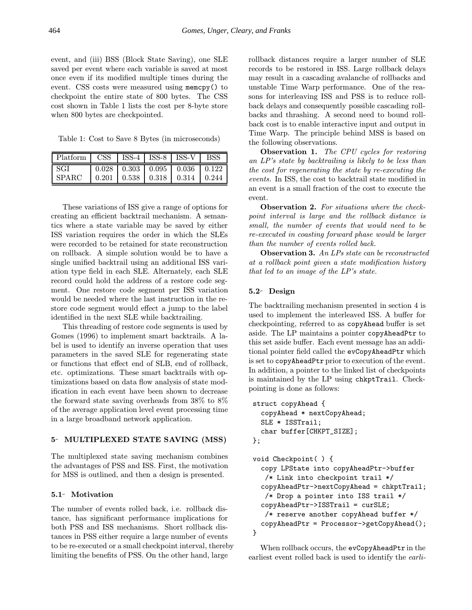event, and (iii) BSS (Block State Saving), one SLE saved per event where each variable is saved at most once even if its modified multiple times during the event. CSS costs were measured using memcpy() to checkpoint the entire state of 800 bytes. The CSS cost shown in Table 1 lists the cost per 8-byte store when 800 bytes are checkpointed.

Table 1: Cost to Save 8 Bytes (in microseconds)

| $ $ Platform $ $ CSS $ $ ISS- $\overline{4}$ ISS- $8$ $ $ ISS- $V$ $ $ BSS |  |                                                               |  |
|----------------------------------------------------------------------------|--|---------------------------------------------------------------|--|
| l SGI                                                                      |  | $0.028$   0.303   0.095   0.036   0.122                       |  |
| <b>SPARC</b>                                                               |  | $\vert 0.201 \vert 0.538 \vert 0.318 \vert 0.314 \vert 0.244$ |  |

These variations of ISS give a range of options for creating an efficient backtrail mechanism. A semantics where a state variable may be saved by either ISS variation requires the order in which the SLEs were recorded to be retained for state reconstruction on rollback. A simple solution would be to have a single unified backtrail using an additional ISS variation type field in each SLE. Alternately, each SLE record could hold the address of a restore code segment. One restore code segment per ISS variation would be needed where the last instruction in the restore code segment would effect a jump to the label identified in the next SLE while backtrailing.

This threading of restore code segments is used by Gomes (1996) to implement smart backtrails. A label is used to identify an inverse operation that uses parameters in the saved SLE for regenerating state or functions that effect end of SLB, end of rollback, etc. optimizations. These smart backtrails with optimizations based on data flow analysis of state modification in each event have been shown to decrease the forward state saving overheads from 38% to 8% of the average application level event processing time in a large broadband network application.

### 5 MULTIPLEXED STATE SAVING (MSS)

The multiplexed state saving mechanism combines the advantages of PSS and ISS. First, the motivation for MSS is outlined, and then a design is presented.

# 5.1- Motivation

The number of events rolled back, i.e. rollback distance, has significant performance implications for both PSS and ISS mechanisms. Short rollback distances in PSS either require a large number of events to be re-executed or a small checkpoint interval, thereby limiting the benefits of PSS. On the other hand, large

rollback distances require a larger number of SLE records to be restored in ISS. Large rollback delays may result in a cascading avalanche of rollbacks and unstable Time Warp performance. One of the reasons for interleaving ISS and PSS is to reduce rollback delays and consequently possible cascading rollbacks and thrashing. A second need to bound rollback cost is to enable interactive input and output in Time Warp. The principle behind MSS is based on the following observations.

Observation 1. The CPU cycles for restoring an LP's state by backtrailing is likely to be less than the cost for regenerating the state by re-executing the events. In ISS, the cost to backtrail state modified in an event is a small fraction of the cost to execute the event.

Observation 2. For situations where the checkpoint interval is large and the rollback distance is small, the number of events that would need to be re-executed in coasting forward phase would be larger than the number of events rolled back.

Observation 3. An LPs state can be reconstructed at a rollback point given a state modification history that led to an image of the LP's state.

## 5.2 Design

The backtrailing mechanism presented in section 4 is used to implement the interleaved ISS. A buffer for checkpointing, referred to as copyAhead buffer is set aside. The LP maintains a pointer copyAheadPtr to this set aside buffer. Each event message has an additional pointer field called the evCopyAheadPtr which is set to copyAheadPtr prior to execution of the event. In addition, a pointer to the linked list of checkpoints is maintained by the LP using chkptTrail. Checkpointing is done as follows:

```
struct copyAhead {
  copyAhead * nextCopyAhead;
  SLE * ISSTrail;
  char buffer[CHKPT_SIZE];
};
```

```
void Checkpoint( ) {
  copy LPState into copyAheadPtr->buffer
   /* Link into checkpoint trail */
  copyAheadPtr->nextCopyAhead = chkptTrail;
   /* Drop a pointer into ISS trail */
  copyAheadPtr->ISSTrail = curSLE;
   /* reserve another copyAhead buffer */
  copyAheadPtr = Processor->getCopyAhead();
}
```
When rollback occurs, the evCopyAheadPtr in the earliest event rolled back is used to identify the earli-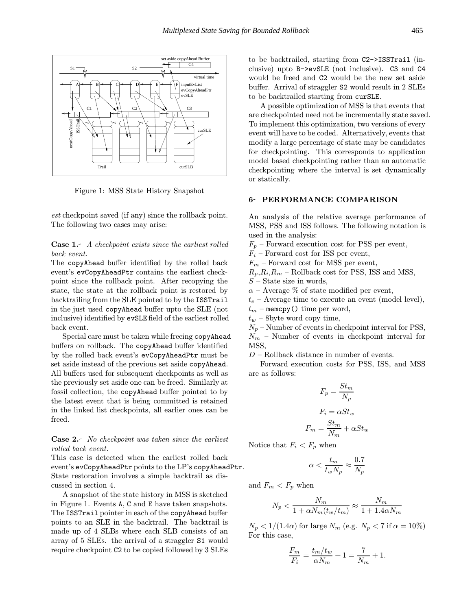

Figure 1: MSS State History Snapshot

est checkpoint saved (if any) since the rollback point. The following two cases may arise:

Case 1.- A checkpoint exists since the earliest rolled back event.

The copyAhead buffer identified by the rolled back event's evCopyAheadPtr contains the earliest checkpoint since the rollback point. After recopying the state, the state at the rollback point is restored by backtrailing from the SLE pointed to by the ISSTrail in the just used copyAhead buffer upto the SLE (not inclusive) identified by evSLE field of the earliest rolled back event.

Special care must be taken while freeing copyAhead buffers on rollback. The copyAhead buffer identified by the rolled back event's evCopyAheadPtr must be set aside instead of the previous set aside copyAhead. All buffers used for subsequent checkpoints as well as the previously set aside one can be freed. Similarly at fossil collection, the copyAhead buffer pointed to by the latest event that is being committed is retained in the linked list checkpoints, all earlier ones can be freed.

Case 2. No checkpoint was taken since the earliest rolled back event.

This case is detected when the earliest rolled back event's evCopyAheadPtr points to the LP's copyAheadPtr. State restoration involves a simple backtrail as discussed in section 4.

A snapshot of the state history in MSS is sketched in Figure 1. Events A, C and E have taken snapshots. The ISSTrail pointer in each of the copyAhead buffer points to an SLE in the backtrail. The backtrail is made up of 4 SLBs where each SLB consists of an array of 5 SLEs. the arrival of a straggler S1 would require checkpoint C2 to be copied followed by 3 SLEs to be backtrailed, starting from C2->ISSTrail (inclusive) upto B->evSLE (not inclusive). C3 and C4 would be freed and C2 would be the new set aside buffer. Arrival of straggler S2 would result in 2 SLEs to be backtrailed starting from curSLE.

A possible optimization of MSS is that events that are checkpointed need not be incrementally state saved. To implement this optimization, two versions of every event will have to be coded. Alternatively, events that modify a large percentage of state may be candidates for checkpointing. This corresponds to application model based checkpointing rather than an automatic checkpointing where the interval is set dynamically or statically.

# 6- PERFORMANCE COMPARISON

An analysis of the relative average performance of MSS, PSS and ISS follows. The following notation is used in the analysis:

 $F_p$  – Forward execution cost for PSS per event,

 $F_i$  – Forward cost for ISS per event,

 $F_m$  – Forward cost for MSS per event,

 $R_p, R_i, R_m$  – Rollback cost for PSS, ISS and MSS,

- $S$  State size in words,
- $\alpha$  Average % of state modified per event,

 $t_e$  – Average time to execute an event (model level),

 $t_m$  – memcpy() time per word,

 $t_w$  – 8byte word copy time,

 $N_p$  – Number of events in checkpoint interval for PSS,  $N_m$  – Number of events in checkpoint interval for MSS,

D – Rollback distance in number of events.

Forward execution costs for PSS, ISS, and MSS are as follows:

$$
F_p = \frac{St_m}{N_p}
$$

$$
F_i = \alpha St_w
$$

$$
F_m = \frac{St_m}{N_m} + \alpha St_w
$$

Notice that  $F_i < F_p$  when

$$
\alpha < \frac{t_m}{t_w N_p} \approx \frac{0.7}{N_p}
$$

and  $F_m < F_p$  when

$$
N_p < \frac{N_m}{1 + \alpha N_m (t_w / t_m)} \approx \frac{N_m}{1 + 1.4 \alpha N_m}
$$

 $N_p < 1/(1.4\alpha)$  for large  $N_m$  (e.g.  $N_p < 7$  if  $\alpha = 10\%)$ For this case,

$$
\frac{F_m}{F_i} = \frac{t_m/t_w}{\alpha N_m} + 1 = \frac{7}{N_m} + 1.
$$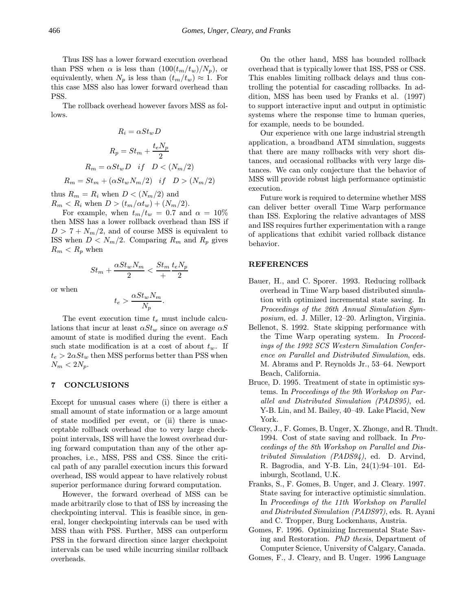Thus ISS has a lower forward execution overhead than PSS when  $\alpha$  is less than  $(100(t_m/t_w)/N_p)$ , or equivalently, when  $N_p$  is less than  $(t_m/t_w) \approx 1$ . For this case MSS also has lower forward overhead than PSS.

The rollback overhead however favors MSS as follows.

$$
R_i = \alpha St_w D
$$

$$
R_p = St_m + \frac{t_e N_p}{2}
$$

$$
R_m = \alpha St_w D \quad \text{if} \quad D < (N_m/2)
$$

$$
R_m = St_m + (\alpha St_w N_m/2) \quad \text{if} \quad D > (N_m/2)
$$

thus  $R_m = R_i$  when  $D < (N_m/2)$  and  $R_m < R_i$  when  $D > (t_m/\alpha t_w) + (N_m/2)$ .

For example, when  $t_m/t_w = 0.7$  and  $\alpha = 10\%$ then MSS has a lower rollback overhead than ISS if  $D > 7 + N_m/2$ , and of course MSS is equivalent to ISS when  $D < N_m/2$ . Comparing  $R_m$  and  $R_p$  gives  $R_m < R_p$  when

$$
St_m + \frac{\alpha St_w N_m}{2} < \frac{St_m}{+} \frac{t_e N_p}{2}
$$

or when

$$
t_e > \frac{\alpha St_w N_m}{N_p}.
$$

The event execution time  $t_e$  must include calculations that incur at least  $\alpha St_{w}$  since on average  $\alpha S$ amount of state is modified during the event. Each such state modification is at a cost of about  $t_w$ . If  $t_e > 2\alpha St_w$  then MSS performs better than PSS when  $N_m < 2N_p$ .

## 7 CONCLUSIONS

Except for unusual cases where (i) there is either a small amount of state information or a large amount of state modified per event, or (ii) there is unacceptable rollback overhead due to very large checkpoint intervals, ISS will have the lowest overhead during forward computation than any of the other approaches, i.e., MSS, PSS and CSS. Since the critical path of any parallel execution incurs this forward overhead, ISS would appear to have relatively robust superior performance during forward computation.

However, the forward overhead of MSS can be made arbitrarily close to that of ISS by increasing the checkpointing interval. This is feasible since, in general, longer checkpointing intervals can be used with MSS than with PSS. Further, MSS can outperform PSS in the forward direction since larger checkpoint intervals can be used while incurring similar rollback overheads.

On the other hand, MSS has bounded rollback overhead that is typically lower that ISS, PSS or CSS. This enables limiting rollback delays and thus controlling the potential for cascading rollbacks. In addition, MSS has been used by Franks et al. (1997) to support interactive input and output in optimistic systems where the response time to human queries, for example, needs to be bounded.

Our experience with one large industrial strength application, a broadband ATM simulation, suggests that there are many rollbacks with very short distances, and occasional rollbacks with very large distances. We can only conjecture that the behavior of MSS will provide robust high performance optimistic execution.

Future work is required to determine whether MSS can deliver better overall Time Warp performance than ISS. Exploring the relative advantages of MSS and ISS requires further experimentation with a range of applications that exhibit varied rollback distance behavior.

#### REFERENCES

- Bauer, H., and C. Sporer. 1993. Reducing rollback overhead in Time Warp based distributed simulation with optimized incremental state saving. In Proceedings of the 26th Annual Simulation Symposium, ed. J. Miller, 12–20. Arlington, Virginia.
- Bellenot, S. 1992. State skipping performance with the Time Warp operating system. In Proceedings of the 1992 SCS Western Simulation Conference on Parallel and Distributed Simulation, eds. M. Abrams and P. Reynolds Jr., 53–64. Newport Beach, California.
- Bruce, D. 1995. Treatment of state in optimistic systems. In Proceedings of the 9th Workshop on Parallel and Distributed Simulation (PADS95), ed. Y-B. Lin, and M. Bailey, 40–49. Lake Placid, New York.
- Cleary, J., F. Gomes, B. Unger, X. Zhonge, and R. Thudt. 1994. Cost of state saving and rollback. In Proceedings of the 8th Workshop on Parallel and Distributed Simulation (PADS94), ed. D. Arvind, R. Bagrodia, and Y-B. Lin, 24(1):94–101. Edinburgh, Scotland, U.K.
- Franks, S., F. Gomes, B. Unger, and J. Cleary. 1997. State saving for interactive optimistic simulation. In Proceedings of the 11th Workshop on Parallel and Distributed Simulation (PADS97), eds. R. Ayani and C. Tropper, Burg Lockenhaus, Austria.
- Gomes, F. 1996. Optimizing Incremental State Saving and Restoration. PhD thesis, Department of Computer Science, University of Calgary, Canada.
- Gomes, F., J. Cleary, and B. Unger. 1996 Language